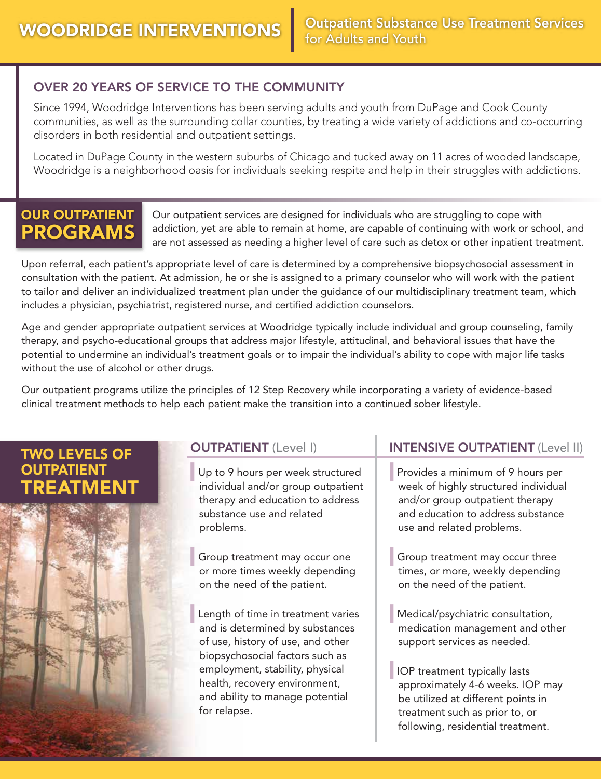#### OVER 20 YEARS OF SERVICE TO THE COMMUNITY

Since 1994, Woodridge Interventions has been serving adults and youth from DuPage and Cook County communities, as well as the surrounding collar counties, by treating a wide variety of addictions and co-occurring disorders in both residential and outpatient settings.

Located in DuPage County in the western suburbs of Chicago and tucked away on 11 acres of wooded landscape, Woodridge is a neighborhood oasis for individuals seeking respite and help in their struggles with addictions.

## OUR OUTPATIENT PROGRAMS

Our outpatient services are designed for individuals who are struggling to cope with addiction, yet are able to remain at home, are capable of continuing with work or school, and are not assessed as needing a higher level of care such as detox or other inpatient treatment.

Upon referral, each patient's appropriate level of care is determined by a comprehensive biopsychosocial assessment in consultation with the patient. At admission, he or she is assigned to a primary counselor who will work with the patient to tailor and deliver an individualized treatment plan under the guidance of our multidisciplinary treatment team, which includes a physician, psychiatrist, registered nurse, and certified addiction counselors.

Age and gender appropriate outpatient services at Woodridge typically include individual and group counseling, family therapy, and psycho-educational groups that address major lifestyle, attitudinal, and behavioral issues that have the potential to undermine an individual's treatment goals or to impair the individual's ability to cope with major life tasks without the use of alcohol or other drugs.

Our outpatient programs utilize the principles of 12 Step Recovery while incorporating a variety of evidence-based clinical treatment methods to help each patient make the transition into a continued sober lifestyle.

### TWO LEVELS OF **OUTPATIENT** FATMENT



#### OUTPATIENT (Level I)

Up to 9 hours per week structured individual and/or group outpatient therapy and education to address substance use and related problems.

Group treatment may occur one or more times weekly depending on the need of the patient.

Length of time in treatment varies and is determined by substances of use, history of use, and other biopsychosocial factors such as employment, stability, physical health, recovery environment, and ability to manage potential for relapse.

#### INTENSIVE OUTPATIENT (Level II)

Provides a minimum of 9 hours per week of highly structured individual and/or group outpatient therapy and education to address substance use and related problems.

Group treatment may occur three times, or more, weekly depending on the need of the patient.

Medical/psychiatric consultation, medication management and other support services as needed.

IOP treatment typically lasts approximately 4-6 weeks. IOP may be utilized at different points in treatment such as prior to, or following, residential treatment.